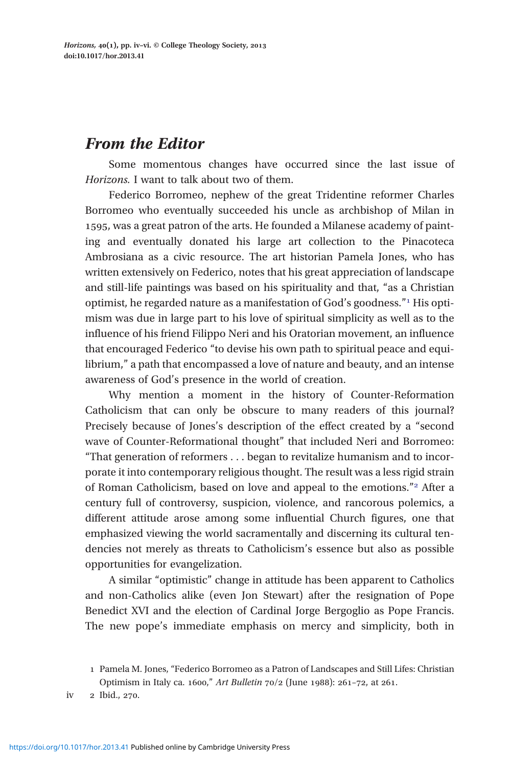## From the Editor

Some momentous changes have occurred since the last issue of Horizons. I want to talk about two of them.

Federico Borromeo, nephew of the great Tridentine reformer Charles Borromeo who eventually succeeded his uncle as archbishop of Milan in 1595, was a great patron of the arts. He founded a Milanese academy of painting and eventually donated his large art collection to the Pinacoteca Ambrosiana as a civic resource. The art historian Pamela Jones, who has written extensively on Federico, notes that his great appreciation of landscape and still-life paintings was based on his spirituality and that, "as a Christian optimist, he regarded nature as a manifestation of God's goodness."<sup>1</sup> His optimism was due in large part to his love of spiritual simplicity as well as to the influence of his friend Filippo Neri and his Oratorian movement, an influence that encouraged Federico "to devise his own path to spiritual peace and equilibrium," a path that encompassed a love of nature and beauty, and an intense awareness of God's presence in the world of creation.

Why mention a moment in the history of Counter-Reformation Catholicism that can only be obscure to many readers of this journal? Precisely because of Jones's description of the effect created by a "second wave of Counter-Reformational thought" that included Neri and Borromeo: "That generation of reformers . . . began to revitalize humanism and to incorporate it into contemporary religious thought. The result was a less rigid strain of Roman Catholicism, based on love and appeal to the emotions."<sup>2</sup> After a century full of controversy, suspicion, violence, and rancorous polemics, a different attitude arose among some influential Church figures, one that emphasized viewing the world sacramentally and discerning its cultural tendencies not merely as threats to Catholicism's essence but also as possible opportunities for evangelization.

A similar "optimistic" change in attitude has been apparent to Catholics and non-Catholics alike (even Jon Stewart) after the resignation of Pope Benedict XVI and the election of Cardinal Jorge Bergoglio as Pope Francis. The new pope's immediate emphasis on mercy and simplicity, both in

2 Ibid., 270. iv

Pamela M. Jones, "Federico Borromeo as a Patron of Landscapes and Still Lifes: Christian Optimism in Italy ca. 1600," Art Bulletin  $70/2$  (June 1988): 261-72, at 261.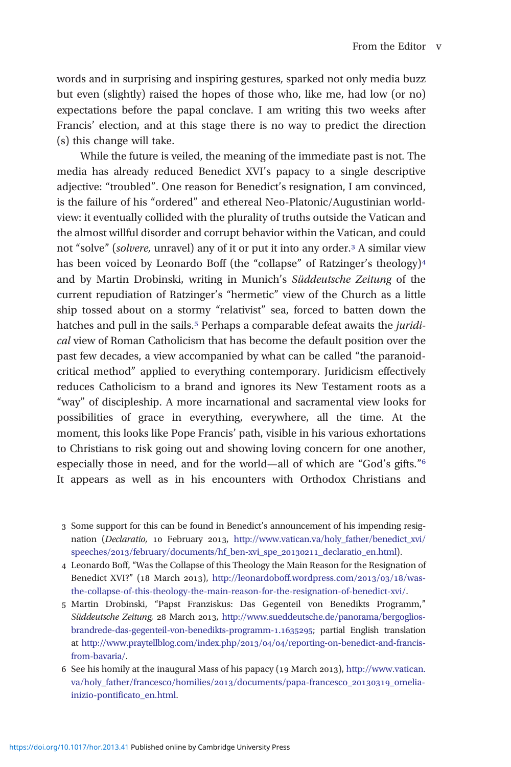words and in surprising and inspiring gestures, sparked not only media buzz but even (slightly) raised the hopes of those who, like me, had low (or no) expectations before the papal conclave. I am writing this two weeks after Francis' election, and at this stage there is no way to predict the direction (s) this change will take.

While the future is veiled, the meaning of the immediate past is not. The media has already reduced Benedict XVI's papacy to a single descriptive adjective: "troubled". One reason for Benedict's resignation, I am convinced, is the failure of his "ordered" and ethereal Neo-Platonic/Augustinian worldview: it eventually collided with the plurality of truths outside the Vatican and the almost willful disorder and corrupt behavior within the Vatican, and could not "solve" (solvere, unravel) any of it or put it into any order.<sup>3</sup> A similar view has been voiced by Leonardo Boff (the "collapse" of Ratzinger's theology)<sup>4</sup> and by Martin Drobinski, writing in Munich's Süddeutsche Zeitung of the current repudiation of Ratzinger's "hermetic" view of the Church as a little ship tossed about on a stormy "relativist" sea, forced to batten down the hatches and pull in the sails.<sup>5</sup> Perhaps a comparable defeat awaits the *juridi*cal view of Roman Catholicism that has become the default position over the past few decades, a view accompanied by what can be called "the paranoidcritical method" applied to everything contemporary. Juridicism effectively reduces Catholicism to a brand and ignores its New Testament roots as a "way" of discipleship. A more incarnational and sacramental view looks for possibilities of grace in everything, everywhere, all the time. At the moment, this looks like Pope Francis' path, visible in his various exhortations to Christians to risk going out and showing loving concern for one another, especially those in need, and for the world—all of which are "God's gifts." It appears as well as in his encounters with Orthodox Christians and

- Some support for this can be found in Benedict's announcement of his impending resignation (Declaratio, 10 February 2013, [http://www.vatican.va/holy\\_father/benedict\\_xvi/](http://www.vatican.va/holy_father/benedict_xvi/speeches/2013/february/documents/hf_ben-xvi_spe_20130211_declaratio_en.html) speeches/2013[/february/documents/hf\\_ben-xvi\\_spe\\_](http://www.vatican.va/holy_father/benedict_xvi/speeches/2013/february/documents/hf_ben-xvi_spe_20130211_declaratio_en.html)20130211\_declaratio\_en.html).
- Leonardo Boff, "Was the Collapse of this Theology the Main Reason for the Resignation of Benedict XVI?" (18 March 2013), [http://leonardoboff.wordpress.com/](http://leonardoboff.wordpress.com/2013/03/18/was-the-collapse-of-this-theology-the-main-reason-for-the-resignation-of-benedict-xvi/)2013/03/18/was[the-collapse-of-this-theology-the-main-reason-for-the-resignation-of-benedict-xvi/](http://leonardoboff.wordpress.com/2013/03/18/was-the-collapse-of-this-theology-the-main-reason-for-the-resignation-of-benedict-xvi/).
- Martin Drobinski, "Papst Franziskus: Das Gegenteil von Benedikts Programm," Süddeutsche Zeitung, 28 March 2013, [http://www.sueddeutsche.de/panorama/bergoglios](http://www.sueddeutsche.de/panorama/bergoglios-brandrede-das-gegenteil-von-benedikts-programm-1.1635295)[brandrede-das-gegenteil-von-benedikts-programm-](http://www.sueddeutsche.de/panorama/bergoglios-brandrede-das-gegenteil-von-benedikts-programm-1.1635295).; partial English translation at [http://www.praytellblog.com/index.php/](http://www.praytellblog.com/index.php/2013/04/04/reporting-on-benedict-and-francis-from-bavaria/)2013/04/04/reporting-on-benedict-and-francis[from-bavaria/](http://www.praytellblog.com/index.php/2013/04/04/reporting-on-benedict-and-francis-from-bavaria/).
- 6 See his homily at the inaugural Mass of his papacy (19 March 2013), [http://www.vatican.](http://www.vatican.va/holy_father/francesco/homilies/2013/documents/papa-francesco_20130319_omelia-inizio-pontificato_en.html) [va/holy\\_father/francesco/homilies/](http://www.vatican.va/holy_father/francesco/homilies/2013/documents/papa-francesco_20130319_omelia-inizio-pontificato_en.html)2013/documents/papa-francesco\_20130319\_omelia[inizio-pontificato\\_en.html.](http://www.vatican.va/holy_father/francesco/homilies/2013/documents/papa-francesco_20130319_omelia-inizio-pontificato_en.html)